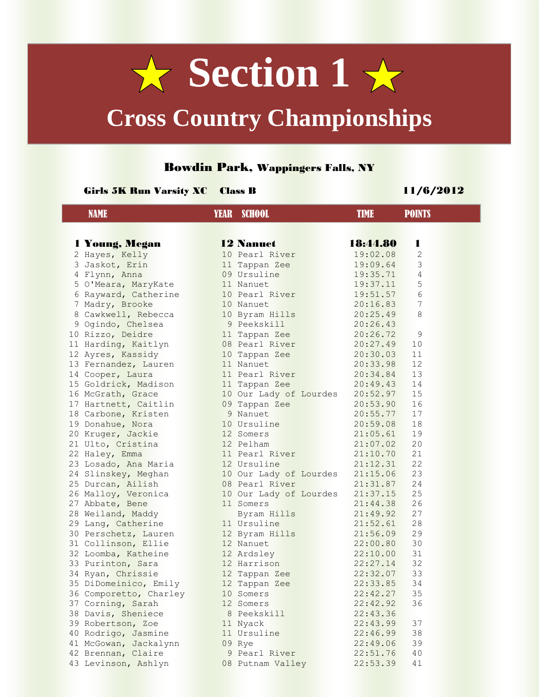

## **Cross Country Championships**

## Bowdin Park, Wappingers Falls, NY

## Girls 5K Run Varsity XC Class B 11/6/2012

| <b>NAME</b> |                                          | <b>YEAR</b> SCHOOL       | <b>TIME</b>          | <b>POINTS</b> |  |
|-------------|------------------------------------------|--------------------------|----------------------|---------------|--|
|             |                                          |                          |                      |               |  |
|             | 1 Young, Megan                           | <b>12 Nanuet</b>         | 18:44.80             | 1             |  |
|             | 2 Hayes, Kelly                           | 10 Pearl River           | 19:02.08             | 2             |  |
|             | 3 Jaskot, Erin                           | 11 Tappan Zee            | 19:09.64             | 3             |  |
|             | 4 Flynn, Anna                            | 09 Ursuline              | 19:35.71             | 4             |  |
|             | 5 O'Meara, MaryKate                      | 11 Nanuet                | 19:37.11             | 5             |  |
|             | 6 Rayward, Catherine                     | 10 Pearl River           | 19:51.57             | 6             |  |
|             | 7 Madry, Brooke                          | 10 Nanuet                | 20:16.83             | 7             |  |
|             | 8 Cawkwell, Rebecca                      | 10 Byram Hills           | 20:25.49             | 8             |  |
|             | 9 Ogindo, Chelsea                        | 9 Peekskill              | 20:26.43             |               |  |
|             | 10 Rizzo, Deidre                         | 11 Tappan Zee            | 20:26.72             | 9             |  |
|             | 11 Harding, Kaitlyn                      | 08 Pearl River           | 20:27.49             | 10            |  |
|             | 12 Ayres, Kassidy                        | 10 Tappan Zee            | 20:30.03             | 11            |  |
|             | 13 Fernandez, Lauren                     | 11 Nanuet                | 20:33.98             | 12            |  |
|             | 14 Cooper, Laura                         | 11 Pearl River           | 20:34.84             | 13            |  |
|             | 15 Goldrick, Madison                     | 11 Tappan Zee            | 20:49.43             | 14            |  |
|             | 16 McGrath, Grace                        | 10 Our Lady of Lourdes   | 20:52.97             | 15            |  |
|             | 17 Hartnett, Caitlin                     | 09 Tappan Zee            | 20:53.90             | 16            |  |
|             | 18 Carbone, Kristen                      | 9 Nanuet                 | 20:55.77             | 17            |  |
|             | 19 Donahue, Nora                         | 10 Ursuline              | 20:59.08             | 18            |  |
|             | 20 Kruger, Jackie                        | 12 Somers                | 21:05.61             | 19            |  |
|             | 21 Ulto, Cristina                        | 12 Pelham                | 21:07.02             | 20            |  |
|             | 22 Haley, Emma                           | 11 Pearl River           | 21:10.70             | 21            |  |
|             | 23 Losado, Ana Maria                     | 12 Ursuline              | 21:12.31             | 22            |  |
|             | 24 Slinskey, Meghan                      | 10 Our Lady of Lourdes   | 21:15.06             | 23            |  |
|             | 25 Durcan, Ailish                        | 08 Pearl River           | 21:31.87             | 24            |  |
|             | 26 Malloy, Veronica                      | 10 Our Lady of Lourdes   | 21:37.15             | 25            |  |
|             | 27 Abbate, Bene                          | 11 Somers                | 21:44.38             | 26            |  |
|             | 28 Weiland, Maddy                        | Byram Hills              | 21:49.92             | 27            |  |
|             | 29 Lang, Catherine                       | 11 Ursuline              | 21:52.61             | 28            |  |
|             | 30 Perschetz, Lauren                     | 12 Byram Hills           | 21:56.09             | 29            |  |
|             | 31 Collinson, Ellie                      | 12 Nanuet                | 22:00.80             | 30            |  |
|             | 32 Loomba, Katheine                      | 12 Ardsley               | 22:10.00             | 31            |  |
|             | 33 Purinton, Sara                        | 12 Harrison              | 22:27.14             | 32            |  |
|             | 34 Ryan, Chrissie                        | 12 Tappan Zee            | 22:32.07             | 33            |  |
|             | 35 DiDomeinico, Emily                    | 12 Tappan Zee            | 22:33.85             | 34            |  |
|             | 36 Comporetto, Charley                   | 10 Somers                | 22:42.27             | 35            |  |
|             | 37 Corning, Sarah                        | 12 Somers<br>8 Peekskill | 22:42.92             | 36            |  |
|             | 38 Davis, Sheniece                       |                          | 22:43.36<br>22:43.99 | 37            |  |
|             | 39 Robertson, Zoe<br>40 Rodrigo, Jasmine | 11 Nyack<br>11 Ursuline  | 22:46.99             | 38            |  |
|             | 41 McGowan, Jackalynn                    |                          |                      | 39            |  |
|             | 42 Brennan, Claire                       | 09 Rye                   | 22:49.06             |               |  |
|             |                                          | 9 Pearl River            | 22:51.76<br>22:53.39 | 40<br>41      |  |
|             | 43 Levinson, Ashlyn                      | 08 Putnam Valley         |                      |               |  |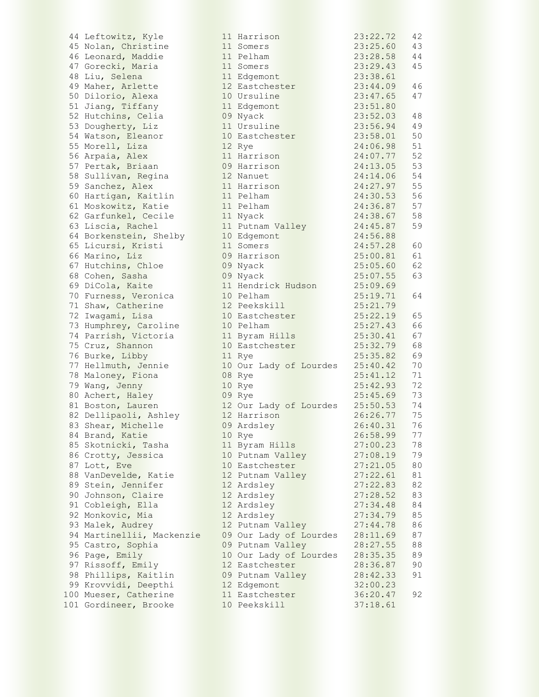|    | 44 Leftowitz, Kyle     |
|----|------------------------|
|    | 45 Nolan, Christine    |
|    | 46 Leonard, Maddie     |
|    | 47 Gorecki, Maria      |
|    | 48 Liu, Selena         |
| 49 | Maher, Arlette         |
| 50 | Dilorio, Alexa         |
|    | 51 Jiang, Tiffany      |
|    |                        |
|    | 52 Hutchins, Celia     |
|    | 53 Dougherty, Liz      |
|    | 54 Watson, Eleanor     |
| 55 | Morell, Liza           |
| 56 | Arpaia, Alex           |
| 57 | Pertak, Briaan         |
| 58 | Sullivan, Regina       |
| 59 | Sanchez, Alex          |
| 60 | Hartigan, Kaitlin      |
| 61 | Moskowitz, Katie       |
|    | 62 Garfunkel, Cecile   |
|    | 63 Liscia, Rachel      |
|    |                        |
|    | 64 Borkenstein, Shelby |
|    | 65 Licursi, Kristi     |
| 66 | Marino, Liz            |
|    | 67 Hutchins, Chloe     |
|    | 68 Cohen, Sasha        |
|    | 69 DiCola, Kaite       |
|    | 70 Furness, Veronica   |
|    | 71 Shaw, Catherine     |
|    | 72 Iwagami, Lisa       |
| 73 | Humphrey, Caroline     |
|    | 74 Parrish, Victoria   |
| 75 |                        |
|    | Cruz, Shannon          |
| 76 | Burke, Libby           |
| 77 | Hellmuth, Jennie       |
| 78 | Maloney, Fiona         |
|    | 79 Wang, Jenny         |
|    | 80 Achert, Haley       |
|    | 81 Boston, Lauren      |
|    | 82 Dellipaoli, Ashley  |
|    | 83 Shear, Michelle     |
| 84 | Brand, Katie           |
|    | 85 Skotnicki, Tasha    |
|    | 86 Crotty, Jessica     |
| 87 | Lott, Eve              |
| 88 | VanDevelde, Katie      |
|    | 89 Stein, Jennifer     |
|    |                        |
|    | 90 Johnson, Claire     |
|    | 91 Cobleigh, Ella      |
| 92 | Monkovic, Mia          |
| 93 | Malek, Audrey          |
| 94 | Martinellii, Mackenzie |
| 95 | Castro, Sophia         |
| 96 | Page, Emily            |
| 97 | Rissoff, Emily         |
|    | 98 Phillips, Kaitlin   |
|    | 99 Krovvidi, Deepthi   |
|    | .00 Mueser, Catherine  |
|    | 01 Gordineer, Brooke   |
|    |                        |

| 44 Leftowitz, Kyle        | 11 Harrison            | 23:22.72 | 42 |
|---------------------------|------------------------|----------|----|
| 45 Nolan, Christine       | 11 Somers              | 23:25.60 | 43 |
| 46 Leonard, Maddie        | 11 Pelham              | 23:28.58 | 44 |
| 47 Gorecki, Maria         | 11 Somers              | 23:29.43 | 45 |
| 48 Liu, Selena            | 11 Edgemont            | 23:38.61 |    |
| 49 Maher, Arlette         | 12 Eastchester         | 23:44.09 | 46 |
| 50 Dilorio, Alexa         | 10 Ursuline            | 23:47.65 | 47 |
| 51 Jiang, Tiffany         | 11 Edgemont            | 23:51.80 |    |
| 52 Hutchins, Celia        | 09 Nyack               | 23:52.03 | 48 |
| 53 Dougherty, Liz         | 11 Ursuline            | 23:56.94 | 49 |
| 54 Watson, Eleanor        | 10 Eastchester         | 23:58.01 | 50 |
| 55 Morell, Liza           | 12 Rye                 | 24:06.98 | 51 |
| 56 Arpaia, Alex           | 11 Harrison            | 24:07.77 | 52 |
| 57 Pertak, Briaan         | 09 Harrison            | 24:13.05 | 53 |
| 58 Sullivan, Regina       | 12 Nanuet              | 24:14.06 | 54 |
| 59 Sanchez, Alex          | 11 Harrison            | 24:27.97 | 55 |
| 60 Hartigan, Kaitlin      | 11 Pelham              | 24:30.53 | 56 |
| 61 Moskowitz, Katie       | 11 Pelham              | 24:36.87 | 57 |
| 62 Garfunkel, Cecile      | 11 Nyack               | 24:38.67 | 58 |
| 63 Liscia, Rachel         | 11 Putnam Valley       | 24:45.87 | 59 |
| 64 Borkenstein, Shelby    | 10 Edgemont            | 24:56.88 |    |
| 65 Licursi, Kristi        | 11 Somers              | 24:57.28 | 60 |
| 66 Marino, Liz            | 09 Harrison            | 25:00.81 | 61 |
| 67 Hutchins, Chloe        | 09 Nyack               | 25:05.60 | 62 |
| 68 Cohen, Sasha           | 09 Nyack               | 25:07.55 | 63 |
| 69 DiCola, Kaite          | 11 Hendrick Hudson     | 25:09.69 |    |
| 70 Furness, Veronica      | 10 Pelham              | 25:19.71 | 64 |
| 71 Shaw, Catherine        | 12 Peekskill           | 25:21.79 |    |
| 72 Iwagami, Lisa          | 10 Eastchester         | 25:22.19 | 65 |
| 73 Humphrey, Caroline     | 10 Pelham              | 25:27.43 | 66 |
| 74 Parrish, Victoria      | 11 Byram Hills         | 25:30.41 | 67 |
| 75 Cruz, Shannon          | 10 Eastchester         | 25:32.79 | 68 |
| 76 Burke, Libby           | 11 Rye                 | 25:35.82 | 69 |
| 77 Hellmuth, Jennie       | 10 Our Lady of Lourdes | 25:40.42 | 70 |
| 78 Maloney, Fiona         | 08 Rye                 | 25:41.12 | 71 |
| 79 Wang, Jenny            | 10 Rye                 | 25:42.93 | 72 |
| 80 Achert, Haley          | 09 Rye                 | 25:45.69 | 73 |
| 81 Boston, Lauren         | 12 Our Lady of Lourdes | 25:50.53 | 74 |
| 82 Dellipaoli, Ashley     | 12 Harrison            | 26:26.77 | 75 |
| 83 Shear, Michelle        | 09 Ardsley             | 26:40.31 | 76 |
| 84 Brand, Katie           | 10 Rye                 | 26:58.99 | 77 |
| 85 Skotnicki, Tasha       | 11 Byram Hills         | 27:00.23 | 78 |
| 86 Crotty, Jessica        | 10 Putnam Valley       | 27:08.19 | 79 |
| 87 Lott, Eve              | 10 Eastchester         | 27:21.05 | 80 |
| 88 VanDevelde, Katie      | 12 Putnam Valley       | 27:22.61 | 81 |
| 89 Stein, Jennifer        | 12 Ardsley             | 27:22.83 | 82 |
| 90 Johnson, Claire        | 12 Ardsley             | 27:28.52 | 83 |
| 91 Cobleigh, Ella         | 12 Ardsley             | 27:34.48 | 84 |
| 92 Monkovic, Mia          | 12 Ardsley             | 27:34.79 | 85 |
| 93 Malek, Audrey          | 12 Putnam Valley       | 27:44.78 | 86 |
| 94 Martinellii, Mackenzie | 09 Our Lady of Lourdes | 28:11.69 | 87 |
| 95 Castro, Sophia         | 09 Putnam Valley       | 28:27.55 | 88 |
| 96 Page, Emily            | 10 Our Lady of Lourdes | 28:35.35 | 89 |
| 97 Rissoff, Emily         | 12 Eastchester         | 28:36.87 | 90 |
| 98 Phillips, Kaitlin      | 09 Putnam Valley       | 28:42.33 | 91 |
| 99 Krovvidi, Deepthi      | 12 Edgemont            | 32:00.23 |    |
| 100 Mueser, Catherine     | 11 Eastchester         | 36:20.47 | 92 |
| 101 Gordineer, Brooke     | 10 Peekskill           | 37:18.61 |    |
|                           |                        |          |    |